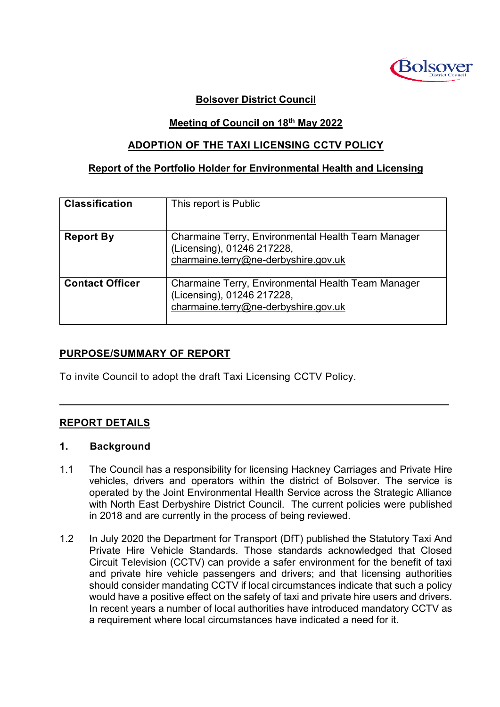

## **Bolsover District Council**

### **Meeting of Council on 18th May 2022**

### **ADOPTION OF THE TAXI LICENSING CCTV POLICY**

#### **Report of the Portfolio Holder for Environmental Health and Licensing**

| <b>Classification</b>  | This report is Public                                                                                                    |
|------------------------|--------------------------------------------------------------------------------------------------------------------------|
| <b>Report By</b>       | Charmaine Terry, Environmental Health Team Manager<br>(Licensing), 01246 217228,<br>charmaine.terry@ne-derbyshire.gov.uk |
| <b>Contact Officer</b> | Charmaine Terry, Environmental Health Team Manager<br>(Licensing), 01246 217228,<br>charmaine.terry@ne-derbyshire.gov.uk |

## **PURPOSE/SUMMARY OF REPORT**

To invite Council to adopt the draft Taxi Licensing CCTV Policy.

## **REPORT DETAILS**

#### **1. Background**

1.1 The Council has a responsibility for licensing Hackney Carriages and Private Hire vehicles, drivers and operators within the district of Bolsover. The service is operated by the Joint Environmental Health Service across the Strategic Alliance with North East Derbyshire District Council. The current policies were published in 2018 and are currently in the process of being reviewed.

 $\mathcal{L}_\mathcal{L} = \mathcal{L}_\mathcal{L} = \mathcal{L}_\mathcal{L} = \mathcal{L}_\mathcal{L} = \mathcal{L}_\mathcal{L} = \mathcal{L}_\mathcal{L} = \mathcal{L}_\mathcal{L} = \mathcal{L}_\mathcal{L} = \mathcal{L}_\mathcal{L} = \mathcal{L}_\mathcal{L} = \mathcal{L}_\mathcal{L} = \mathcal{L}_\mathcal{L} = \mathcal{L}_\mathcal{L} = \mathcal{L}_\mathcal{L} = \mathcal{L}_\mathcal{L} = \mathcal{L}_\mathcal{L} = \mathcal{L}_\mathcal{L}$ 

1.2 In July 2020 the Department for Transport (DfT) published the Statutory Taxi And Private Hire Vehicle Standards*.* Those standards acknowledged that Closed Circuit Television (CCTV) can provide a safer environment for the benefit of taxi and private hire vehicle passengers and drivers; and that licensing authorities should consider mandating CCTV if local circumstances indicate that such a policy would have a positive effect on the safety of taxi and private hire users and drivers. In recent years a number of local authorities have introduced mandatory CCTV as a requirement where local circumstances have indicated a need for it.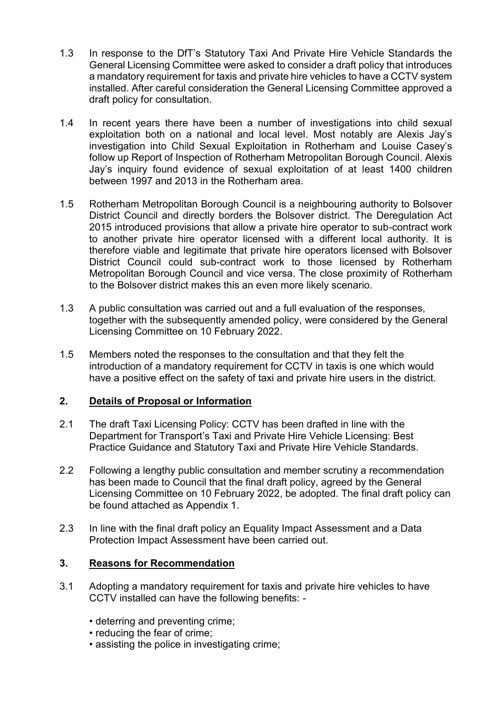- 1.3 In response to the DfT's Statutory Taxi And Private Hire Vehicle Standards the General Licensing Committee were asked to consider a draft policy that introduces a mandatory requirement for taxis and private hire vehicles to have a CCTV system installed. After careful consideration the General Licensing Committee approved a draft policy for consultation.
- 1.4 In recent years there have been a number of investigations into child sexual exploitation both on a national and local level. Most notably are Alexis Jay's investigation into Child Sexual Exploitation in Rotherham and Louise Casey's follow up Report of Inspection of Rotherham Metropolitan Borough Council. Alexis Jay's inquiry found evidence of sexual exploitation of at least 1400 children between 1997 and 2013 in the Rotherham area.
- 1.5 Rotherham Metropolitan Borough Council is a neighbouring authority to Bolsover District Council and directly borders the Bolsover district. The Deregulation Act 2015 introduced provisions that allow a private hire operator to sub-contract work to another private hire operator licensed with a different local authority. It is therefore viable and legitimate that private hire operators licensed with Bolsover District Council could sub-contract work to those licensed by Rotherham Metropolitan Borough Council and vice versa. The close proximity of Rotherham to the Bolsover district makes this an even more likely scenario.
- 1.3 A public consultation was carried out and a full evaluation of the responses, together with the subsequently amended policy, were considered by the General Licensing Committee on 10 February 2022.
- 1.5 Members noted the responses to the consultation and that they felt the introduction of a mandatory requirement for CCTV in taxis is one which would have a positive effect on the safety of taxi and private hire users in the district.

## **2. Details of Proposal or Information**

- 2.1 The draft Taxi Licensing Policy: CCTV has been drafted in line with the Department for Transport's Taxi and Private Hire Vehicle Licensing: Best Practice Guidance and Statutory Taxi and Private Hire Vehicle Standards.
- 2.2 Following a lengthy public consultation and member scrutiny a recommendation has been made to Council that the final draft policy, agreed by the General Licensing Committee on 10 February 2022, be adopted. The final draft policy can be found attached as Appendix 1.
- 2.3 In line with the final draft policy an Equality Impact Assessment and a Data Protection Impact Assessment have been carried out.

## **3. Reasons for Recommendation**

- 3.1 Adopting a mandatory requirement for taxis and private hire vehicles to have CCTV installed can have the following benefits: -
	- deterring and preventing crime;
	- reducing the fear of crime;
	- assisting the police in investigating crime;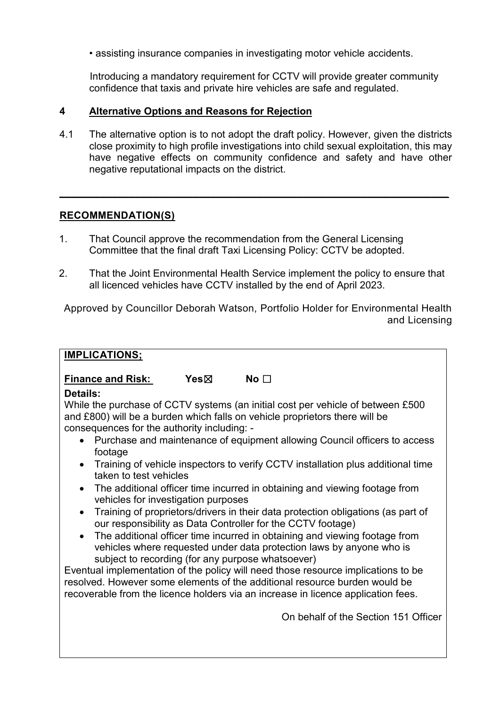• assisting insurance companies in investigating motor vehicle accidents.

Introducing a mandatory requirement for CCTV will provide greater community confidence that taxis and private hire vehicles are safe and regulated.

### **4 Alternative Options and Reasons for Rejection**

4.1 The alternative option is to not adopt the draft policy. However, given the districts close proximity to high profile investigations into child sexual exploitation, this may have negative effects on community confidence and safety and have other negative reputational impacts on the district.

**\_\_\_\_\_\_\_\_\_\_\_\_\_\_\_\_\_\_\_\_\_\_\_\_\_\_\_\_\_\_\_\_\_\_\_\_\_\_\_\_\_\_\_\_\_\_\_\_\_\_\_\_\_\_\_\_\_\_\_\_\_\_\_\_\_\_\_**

### **RECOMMENDATION(S)**

- 1. That Council approve the recommendation from the General Licensing Committee that the final draft Taxi Licensing Policy: CCTV be adopted.
- 2. That the Joint Environmental Health Service implement the policy to ensure that all licenced vehicles have CCTV installed by the end of April 2023.

Approved by Councillor Deborah Watson, Portfolio Holder for Environmental Health and Licensing

#### **IMPLICATIONS;**

# **Finance and Risk: Yes**☒ **No** ☐

#### **Details:**

While the purchase of CCTV systems (an initial cost per vehicle of between £500 and £800) will be a burden which falls on vehicle proprietors there will be consequences for the authority including: -

- Purchase and maintenance of equipment allowing Council officers to access footage
- Training of vehicle inspectors to verify CCTV installation plus additional time taken to test vehicles
- The additional officer time incurred in obtaining and viewing footage from vehicles for investigation purposes
- Training of proprietors/drivers in their data protection obligations (as part of our responsibility as Data Controller for the CCTV footage)
- The additional officer time incurred in obtaining and viewing footage from vehicles where requested under data protection laws by anyone who is subject to recording (for any purpose whatsoever)

Eventual implementation of the policy will need those resource implications to be resolved. However some elements of the additional resource burden would be recoverable from the licence holders via an increase in licence application fees.

On behalf of the Section 151 Officer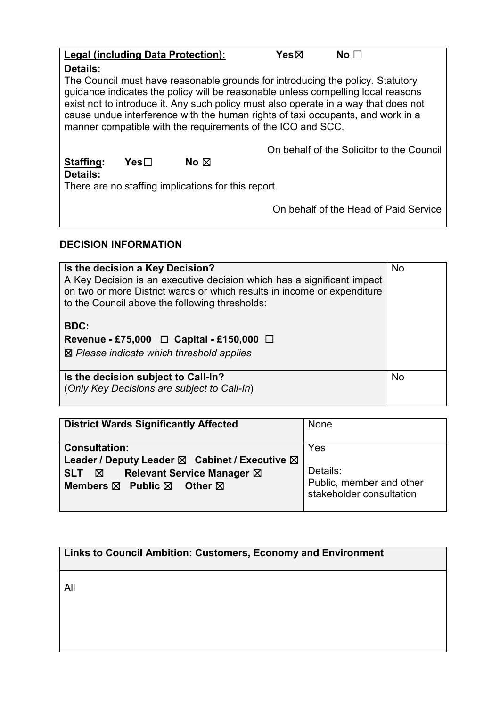|                                                                 |      | <b>Legal (including Data Protection):</b>                                                                                                                                                                                                                                                                                                                                                                   | Yesbox | No $\Box$ |                                           |
|-----------------------------------------------------------------|------|-------------------------------------------------------------------------------------------------------------------------------------------------------------------------------------------------------------------------------------------------------------------------------------------------------------------------------------------------------------------------------------------------------------|--------|-----------|-------------------------------------------|
| Details:                                                        |      |                                                                                                                                                                                                                                                                                                                                                                                                             |        |           |                                           |
|                                                                 |      | The Council must have reasonable grounds for introducing the policy. Statutory<br>guidance indicates the policy will be reasonable unless compelling local reasons<br>exist not to introduce it. Any such policy must also operate in a way that does not<br>cause undue interference with the human rights of taxi occupants, and work in a<br>manner compatible with the requirements of the ICO and SCC. |        |           |                                           |
|                                                                 |      |                                                                                                                                                                                                                                                                                                                                                                                                             |        |           | On behalf of the Solicitor to the Council |
| Staffing:                                                       | Yes⊟ | No $\boxtimes$                                                                                                                                                                                                                                                                                                                                                                                              |        |           |                                           |
| Details:<br>There are no staffing implications for this report. |      |                                                                                                                                                                                                                                                                                                                                                                                                             |        |           |                                           |
|                                                                 |      |                                                                                                                                                                                                                                                                                                                                                                                                             |        |           | On behalf of the Head of Paid Service     |

# **DECISION INFORMATION**

| Is the decision a Key Decision?<br>A Key Decision is an executive decision which has a significant impact<br>on two or more District wards or which results in income or expenditure<br>to the Council above the following thresholds: | <b>No</b> |
|----------------------------------------------------------------------------------------------------------------------------------------------------------------------------------------------------------------------------------------|-----------|
| <b>BDC:</b><br>Revenue - £75,000 $\Box$ Capital - £150,000 $\Box$<br>$\boxtimes$ Please indicate which threshold applies                                                                                                               |           |
| Is the decision subject to Call-In?<br>(Only Key Decisions are subject to Call-In)                                                                                                                                                     | <b>No</b> |

| <b>District Wards Significantly Affected</b>                                                                                                                                                            | None                                                                    |
|---------------------------------------------------------------------------------------------------------------------------------------------------------------------------------------------------------|-------------------------------------------------------------------------|
| <b>Consultation:</b><br>Leader / Deputy Leader $\boxtimes$ Cabinet / Executive $\boxtimes$<br><b>Relevant Service Manager ⊠</b><br><b>SLT</b><br>⊠<br>Members $\boxtimes$ Public $\boxtimes$<br>Other 冈 | Yes<br>Details:<br>Public, member and other<br>stakeholder consultation |

| Links to Council Ambition: Customers, Economy and Environment |  |
|---------------------------------------------------------------|--|
|---------------------------------------------------------------|--|

All